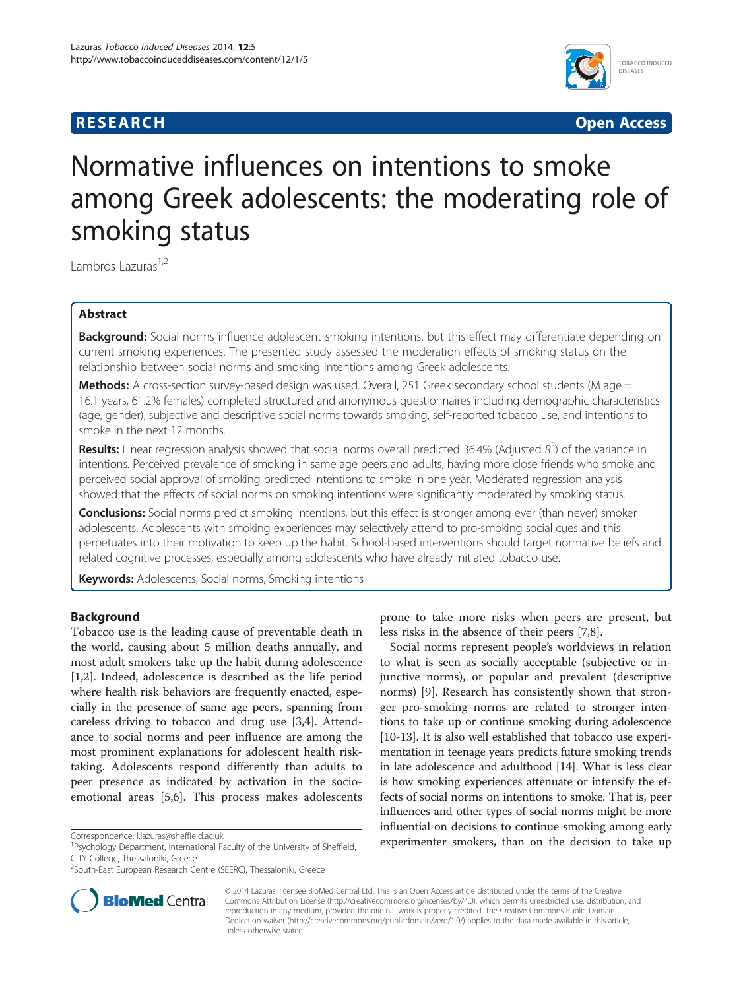# **RESEARCH RESEARCH** *CHECKER CHECKER CHECKER CHECKER CHECKER CHECKER CHECKER CHECKER CHECKER CHECKER CHECKER*



# Normative influences on intentions to smoke among Greek adolescents: the moderating role of smoking status

Lambros Lazuras<sup>1,2</sup>

# Abstract

Background: Social norms influence adolescent smoking intentions, but this effect may differentiate depending on current smoking experiences. The presented study assessed the moderation effects of smoking status on the relationship between social norms and smoking intentions among Greek adolescents.

Methods: A cross-section survey-based design was used. Overall, 251 Greek secondary school students (M age = 16.1 years, 61.2% females) completed structured and anonymous questionnaires including demographic characteristics (age, gender), subjective and descriptive social norms towards smoking, self-reported tobacco use, and intentions to smoke in the next 12 months.

Results: Linear regression analysis showed that social norms overall predicted 36.4% (Adjusted R<sup>2</sup>) of the variance in intentions. Perceived prevalence of smoking in same age peers and adults, having more close friends who smoke and perceived social approval of smoking predicted intentions to smoke in one year. Moderated regression analysis showed that the effects of social norms on smoking intentions were significantly moderated by smoking status.

Conclusions: Social norms predict smoking intentions, but this effect is stronger among ever (than never) smoker adolescents. Adolescents with smoking experiences may selectively attend to pro-smoking social cues and this perpetuates into their motivation to keep up the habit. School-based interventions should target normative beliefs and related cognitive processes, especially among adolescents who have already initiated tobacco use.

Keywords: Adolescents, Social norms, Smoking intentions

### Background

Tobacco use is the leading cause of preventable death in the world, causing about 5 million deaths annually, and most adult smokers take up the habit during adolescence [[1,2\]](#page-4-0). Indeed, adolescence is described as the life period where health risk behaviors are frequently enacted, especially in the presence of same age peers, spanning from careless driving to tobacco and drug use [\[3,4](#page-4-0)]. Attendance to social norms and peer influence are among the most prominent explanations for adolescent health risktaking. Adolescents respond differently than adults to peer presence as indicated by activation in the socioemotional areas [[5,6\]](#page-4-0). This process makes adolescents



Social norms represent people's worldviews in relation to what is seen as socially acceptable (subjective or injunctive norms), or popular and prevalent (descriptive norms) [[9\]](#page-4-0). Research has consistently shown that stronger pro-smoking norms are related to stronger intentions to take up or continue smoking during adolescence [[10](#page-4-0)-[13\]](#page-4-0). It is also well established that tobacco use experimentation in teenage years predicts future smoking trends in late adolescence and adulthood [[14\]](#page-4-0). What is less clear is how smoking experiences attenuate or intensify the effects of social norms on intentions to smoke. That is, peer influences and other types of social norms might be more influential on decisions to continue smoking among early Correspondence: [l.lazuras@sheffield.ac.uk](mailto:l.lazuras@sheffield.ac.uk)<br><sup>1</sup>Psychology Department International Faculty of the University of Sheffield **experimenter smokers, than on the decision to take up** 



© 2014 Lazuras; licensee BioMed Central Ltd. This is an Open Access article distributed under the terms of the Creative Commons Attribution License [\(http://creativecommons.org/licenses/by/4.0\)](http://creativecommons.org/licenses/by/4.0), which permits unrestricted use, distribution, and reproduction in any medium, provided the original work is properly credited. The Creative Commons Public Domain Dedication waiver [\(http://creativecommons.org/publicdomain/zero/1.0/](http://creativecommons.org/publicdomain/zero/1.0/)) applies to the data made available in this article, unless otherwise stated.

<sup>&</sup>lt;sup>1</sup>Psychology Department, International Faculty of the University of Sheffield, CITY College, Thessaloniki, Greece

<sup>&</sup>lt;sup>2</sup>South-East European Research Centre (SEERC), Thessaloniki, Greece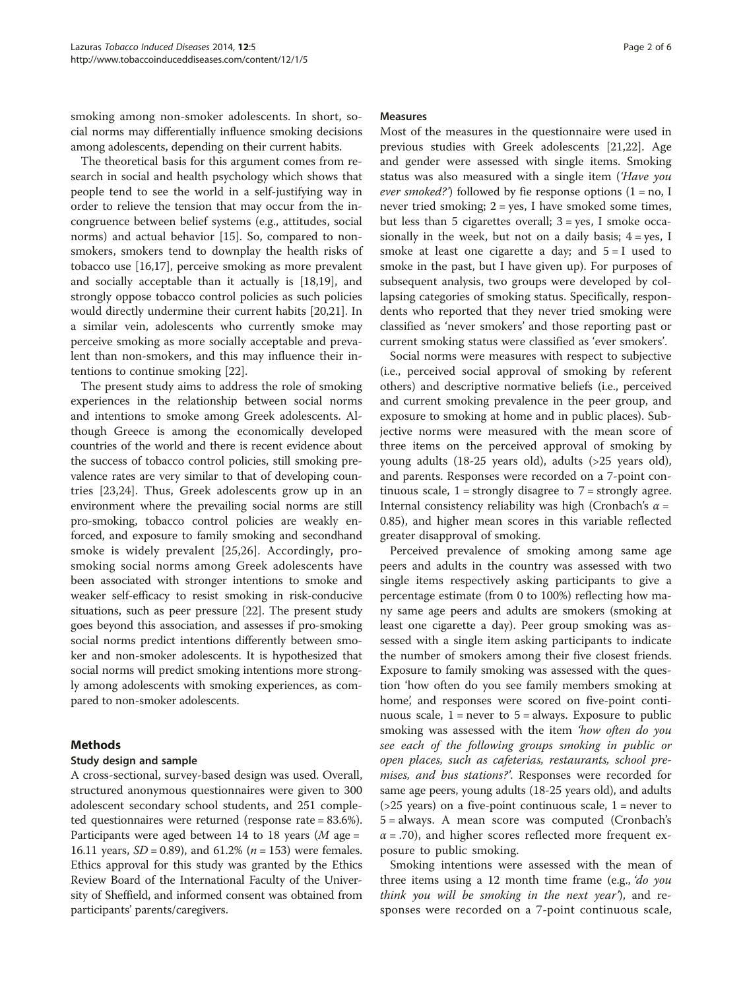smoking among non-smoker adolescents. In short, social norms may differentially influence smoking decisions among adolescents, depending on their current habits.

The theoretical basis for this argument comes from research in social and health psychology which shows that people tend to see the world in a self-justifying way in order to relieve the tension that may occur from the incongruence between belief systems (e.g., attitudes, social norms) and actual behavior [\[15\]](#page-4-0). So, compared to nonsmokers, smokers tend to downplay the health risks of tobacco use [[16](#page-4-0),[17](#page-4-0)], perceive smoking as more prevalent and socially acceptable than it actually is [\[18,19](#page-4-0)], and strongly oppose tobacco control policies as such policies would directly undermine their current habits [[20,21](#page-4-0)]. In a similar vein, adolescents who currently smoke may perceive smoking as more socially acceptable and prevalent than non-smokers, and this may influence their intentions to continue smoking [\[22](#page-4-0)].

The present study aims to address the role of smoking experiences in the relationship between social norms and intentions to smoke among Greek adolescents. Although Greece is among the economically developed countries of the world and there is recent evidence about the success of tobacco control policies, still smoking prevalence rates are very similar to that of developing countries [[23,24](#page-4-0)]. Thus, Greek adolescents grow up in an environment where the prevailing social norms are still pro-smoking, tobacco control policies are weakly enforced, and exposure to family smoking and secondhand smoke is widely prevalent [[25,26](#page-4-0)]. Accordingly, prosmoking social norms among Greek adolescents have been associated with stronger intentions to smoke and weaker self-efficacy to resist smoking in risk-conducive situations, such as peer pressure [\[22\]](#page-4-0). The present study goes beyond this association, and assesses if pro-smoking social norms predict intentions differently between smoker and non-smoker adolescents. It is hypothesized that social norms will predict smoking intentions more strongly among adolescents with smoking experiences, as compared to non-smoker adolescents.

### Methods

#### Study design and sample

A cross-sectional, survey-based design was used. Overall, structured anonymous questionnaires were given to 300 adolescent secondary school students, and 251 completed questionnaires were returned (response rate = 83.6%). Participants were aged between 14 to 18 years ( $M$  age = 16.11 years,  $SD = 0.89$ ), and 61.2% (*n* = 153) were females. Ethics approval for this study was granted by the Ethics Review Board of the International Faculty of the University of Sheffield, and informed consent was obtained from participants' parents/caregivers.

#### Measures

Most of the measures in the questionnaire were used in previous studies with Greek adolescents [[21](#page-4-0),[22](#page-4-0)]. Age and gender were assessed with single items. Smoking status was also measured with a single item (*'Have you* ever smoked?') followed by fie response options  $(1 = no, I)$ never tried smoking;  $2 = yes$ , I have smoked some times, but less than 5 cigarettes overall; 3 = yes, I smoke occasionally in the week, but not on a daily basis;  $4 = yes$ , I smoke at least one cigarette a day; and  $5 = I$  used to smoke in the past, but I have given up). For purposes of subsequent analysis, two groups were developed by collapsing categories of smoking status. Specifically, respondents who reported that they never tried smoking were classified as 'never smokers' and those reporting past or current smoking status were classified as 'ever smokers'.

Social norms were measures with respect to subjective (i.e., perceived social approval of smoking by referent others) and descriptive normative beliefs (i.e., perceived and current smoking prevalence in the peer group, and exposure to smoking at home and in public places). Subjective norms were measured with the mean score of three items on the perceived approval of smoking by young adults (18-25 years old), adults (>25 years old), and parents. Responses were recorded on a 7-point continuous scale,  $1 =$  strongly disagree to  $7 =$  strongly agree. Internal consistency reliability was high (Cronbach's  $\alpha$  = 0.85), and higher mean scores in this variable reflected greater disapproval of smoking.

Perceived prevalence of smoking among same age peers and adults in the country was assessed with two single items respectively asking participants to give a percentage estimate (from 0 to 100%) reflecting how many same age peers and adults are smokers (smoking at least one cigarette a day). Peer group smoking was assessed with a single item asking participants to indicate the number of smokers among their five closest friends. Exposure to family smoking was assessed with the question 'how often do you see family members smoking at home', and responses were scored on five-point continuous scale,  $1 =$  never to  $5 =$  always. Exposure to public smoking was assessed with the item 'how often do you see each of the following groups smoking in public or open places, such as cafeterias, restaurants, school premises, and bus stations?'. Responses were recorded for same age peers, young adults (18-25 years old), and adults ( $>25$  years) on a five-point continuous scale, 1 = never to 5 = always. A mean score was computed (Cronbach's  $\alpha$  = .70), and higher scores reflected more frequent exposure to public smoking.

Smoking intentions were assessed with the mean of three items using a 12 month time frame (e.g., 'do you think you will be smoking in the next year'), and responses were recorded on a 7-point continuous scale,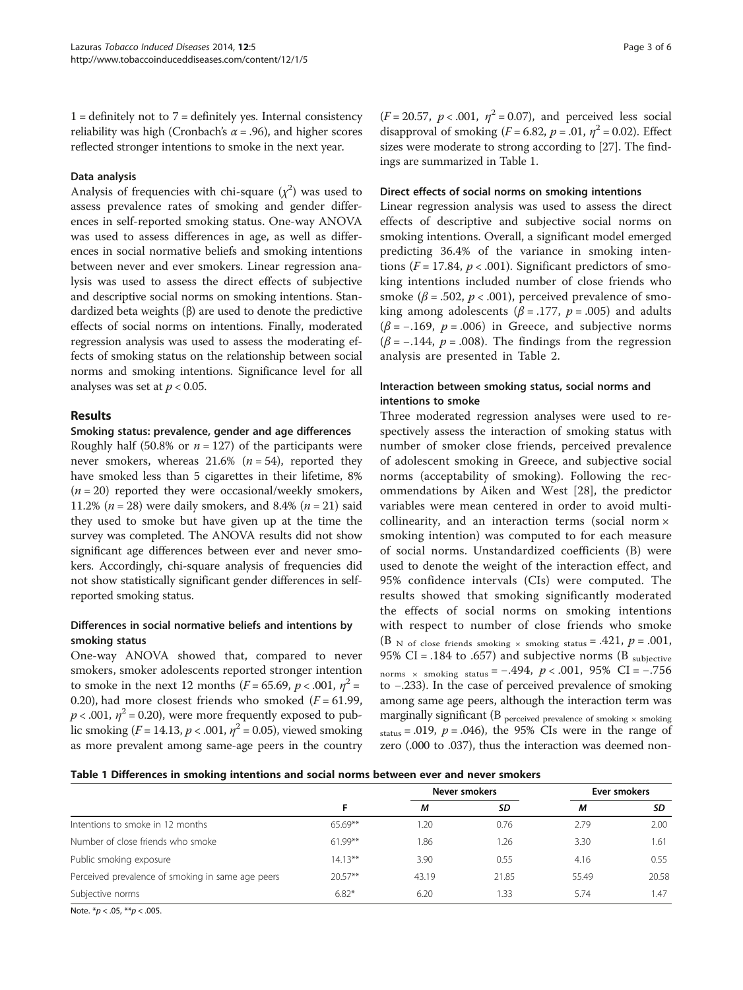$1 =$  definitely not to  $7 =$  definitely yes. Internal consistency reliability was high (Cronbach's  $\alpha$  = .96), and higher scores reflected stronger intentions to smoke in the next year.

#### Data analysis

Analysis of frequencies with chi-square  $(\chi^2)$  was used to assess prevalence rates of smoking and gender differences in self-reported smoking status. One-way ANOVA was used to assess differences in age, as well as differences in social normative beliefs and smoking intentions between never and ever smokers. Linear regression analysis was used to assess the direct effects of subjective and descriptive social norms on smoking intentions. Standardized beta weights (β) are used to denote the predictive effects of social norms on intentions. Finally, moderated regression analysis was used to assess the moderating effects of smoking status on the relationship between social norms and smoking intentions. Significance level for all analyses was set at  $p < 0.05$ .

### Results

#### Smoking status: prevalence, gender and age differences

Roughly half (50.8% or  $n = 127$ ) of the participants were never smokers, whereas  $21.6\%$  ( $n = 54$ ), reported they have smoked less than 5 cigarettes in their lifetime, 8%  $(n = 20)$  reported they were occasional/weekly smokers, 11.2% ( $n = 28$ ) were daily smokers, and 8.4% ( $n = 21$ ) said they used to smoke but have given up at the time the survey was completed. The ANOVA results did not show significant age differences between ever and never smokers. Accordingly, chi-square analysis of frequencies did not show statistically significant gender differences in selfreported smoking status.

### Differences in social normative beliefs and intentions by smoking status

One-way ANOVA showed that, compared to never smokers, smoker adolescents reported stronger intention to smoke in the next 12 months ( $F = 65.69$ ,  $p < .001$ ,  $\eta^2 =$ 0.20), had more closest friends who smoked  $(F = 61.99,$  $p < .001$ ,  $\eta^2 = 0.20$ ), were more frequently exposed to public smoking ( $F = 14.13$ ,  $p < .001$ ,  $\eta^2 = 0.05$ ), viewed smoking as more prevalent among same-age peers in the country

 $(F = 20.57, p < .001, \eta^2 = 0.07)$ , and perceived less social disapproval of smoking  $(F = 6.82, p = .01, \eta^2 = 0.02)$ . Effect sizes were moderate to strong according to [\[27\]](#page-4-0). The findings are summarized in Table 1.

#### Direct effects of social norms on smoking intentions

Linear regression analysis was used to assess the direct effects of descriptive and subjective social norms on smoking intentions. Overall, a significant model emerged predicting 36.4% of the variance in smoking intentions ( $F = 17.84$ ,  $p < .001$ ). Significant predictors of smoking intentions included number of close friends who smoke ( $\beta$  = .502,  $p < .001$ ), perceived prevalence of smoking among adolescents ( $\beta$  = .177,  $p$  = .005) and adults  $(\beta = -0.169, p = 0.006)$  in Greece, and subjective norms  $(\beta = -0.144, p = 0.008)$ . The findings from the regression analysis are presented in Table [2.](#page-3-0)

## Interaction between smoking status, social norms and intentions to smoke

Three moderated regression analyses were used to respectively assess the interaction of smoking status with number of smoker close friends, perceived prevalence of adolescent smoking in Greece, and subjective social norms (acceptability of smoking). Following the recommendations by Aiken and West [[28](#page-4-0)], the predictor variables were mean centered in order to avoid multicollinearity, and an interaction terms (social norm × smoking intention) was computed to for each measure of social norms. Unstandardized coefficients (Β) were used to denote the weight of the interaction effect, and 95% confidence intervals (CIs) were computed. The results showed that smoking significantly moderated the effects of social norms on smoking intentions with respect to number of close friends who smoke (B <sub>N</sub> of close friends smoking  $\times$  smoking status = .421,  $p = .001$ , 95% CI = .184 to .657) and subjective norms (B subjective norms × smoking status =  $-.494$ ,  $p < .001$ ,  $95\%$  CI =  $-.756$ to −.233). In the case of perceived prevalence of smoking among same age peers, although the interaction term was marginally significant (B perceived prevalence of smoking  $\times$  smoking  $_{\text{status}} = .019$ ,  $p = .046$ ), the 95% CIs were in the range of zero (.000 to .037), thus the interaction was deemed non-

Table 1 Differences in smoking intentions and social norms between ever and never smokers

|                                                   | F          | Never smokers |       | Ever smokers |       |
|---------------------------------------------------|------------|---------------|-------|--------------|-------|
|                                                   |            | М             | SD    | М            | SD    |
| Intentions to smoke in 12 months                  | 65.69**    | .20           | 0.76  | 2.79         | 2.00  |
| Number of close friends who smoke                 | $61.99**$  | 1.86          | 1.26  | 3.30         | 1.61  |
| Public smoking exposure                           | $14.13***$ | 3.90          | 0.55  | 4.16         | 0.55  |
| Perceived prevalence of smoking in same age peers | $20.57**$  | 43.19         | 21.85 | 55.49        | 20.58 |
| Subjective norms                                  | $6.82*$    | 6.20          | 1.33  | 5.74         | 1.47  |

Note.  $* p < .05, ** p < .005.$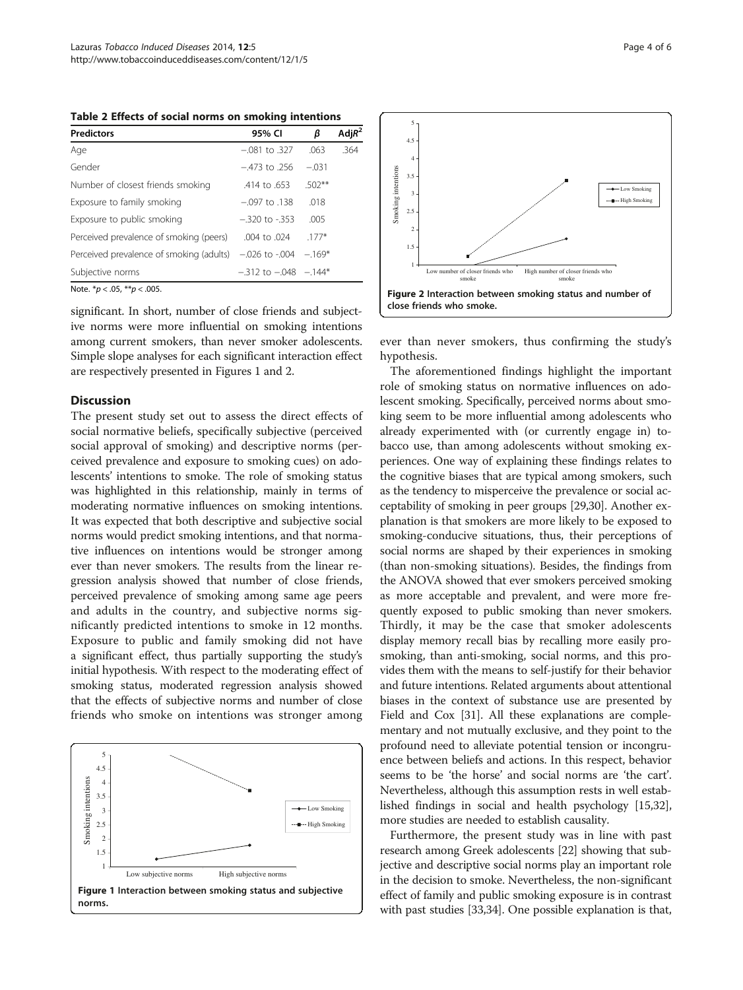<span id="page-3-0"></span>Table 2 Effects of social norms on smoking intentions

| <b>Predictors</b>                        | 95% CI                   | β        | $AdiR^2$ |
|------------------------------------------|--------------------------|----------|----------|
| Age                                      | $-.081$ to $.327$        | .063     | .364     |
| Gender                                   | $-473$ to 256            | $-.031$  |          |
| Number of closest friends smoking        | .414 to .653             | $.502**$ |          |
| Exposure to family smoking               | $-0.097$ to $.138$       | .018     |          |
| Exposure to public smoking               | $-320$ to $-353$         | .005     |          |
| Perceived prevalence of smoking (peers)  | $.004$ to $.024$         | $.177*$  |          |
| Perceived prevalence of smoking (adults) | $-0.026$ to $-0.004$     | $-169*$  |          |
| Subjective norms                         | $-312$ to $-048$ $-144*$ |          |          |

Note.  $* p < .05, ** p < .005$ .

significant. In short, number of close friends and subjective norms were more influential on smoking intentions among current smokers, than never smoker adolescents. Simple slope analyses for each significant interaction effect are respectively presented in Figures 1 and 2.

#### **Discussion**

The present study set out to assess the direct effects of social normative beliefs, specifically subjective (perceived social approval of smoking) and descriptive norms (perceived prevalence and exposure to smoking cues) on adolescents' intentions to smoke. The role of smoking status was highlighted in this relationship, mainly in terms of moderating normative influences on smoking intentions. It was expected that both descriptive and subjective social norms would predict smoking intentions, and that normative influences on intentions would be stronger among ever than never smokers. The results from the linear regression analysis showed that number of close friends, perceived prevalence of smoking among same age peers and adults in the country, and subjective norms significantly predicted intentions to smoke in 12 months. Exposure to public and family smoking did not have a significant effect, thus partially supporting the study's initial hypothesis. With respect to the moderating effect of smoking status, moderated regression analysis showed that the effects of subjective norms and number of close friends who smoke on intentions was stronger among





ever than never smokers, thus confirming the study's hypothesis.

The aforementioned findings highlight the important role of smoking status on normative influences on adolescent smoking. Specifically, perceived norms about smoking seem to be more influential among adolescents who already experimented with (or currently engage in) tobacco use, than among adolescents without smoking experiences. One way of explaining these findings relates to the cognitive biases that are typical among smokers, such as the tendency to misperceive the prevalence or social acceptability of smoking in peer groups [\[29,30\]](#page-4-0). Another explanation is that smokers are more likely to be exposed to smoking-conducive situations, thus, their perceptions of social norms are shaped by their experiences in smoking (than non-smoking situations). Besides, the findings from the ANOVA showed that ever smokers perceived smoking as more acceptable and prevalent, and were more frequently exposed to public smoking than never smokers. Thirdly, it may be the case that smoker adolescents display memory recall bias by recalling more easily prosmoking, than anti-smoking, social norms, and this provides them with the means to self-justify for their behavior and future intentions. Related arguments about attentional biases in the context of substance use are presented by Field and Cox [\[31](#page-4-0)]. All these explanations are complementary and not mutually exclusive, and they point to the profound need to alleviate potential tension or incongruence between beliefs and actions. In this respect, behavior seems to be 'the horse' and social norms are 'the cart'. Nevertheless, although this assumption rests in well established findings in social and health psychology [\[15,32](#page-4-0)], more studies are needed to establish causality.

Furthermore, the present study was in line with past research among Greek adolescents [\[22](#page-4-0)] showing that subjective and descriptive social norms play an important role in the decision to smoke. Nevertheless, the non-significant effect of family and public smoking exposure is in contrast with past studies [\[33,34](#page-5-0)]. One possible explanation is that,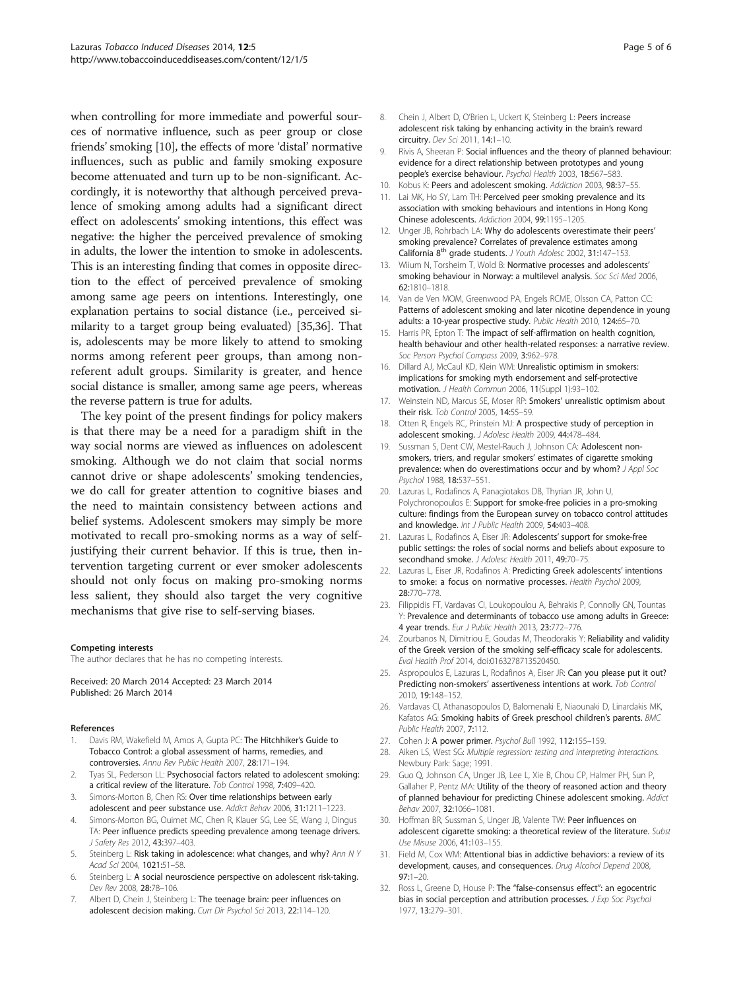<span id="page-4-0"></span>when controlling for more immediate and powerful sources of normative influence, such as peer group or close friends' smoking [10], the effects of more 'distal' normative influences, such as public and family smoking exposure become attenuated and turn up to be non-significant. Accordingly, it is noteworthy that although perceived prevalence of smoking among adults had a significant direct effect on adolescents' smoking intentions, this effect was negative: the higher the perceived prevalence of smoking in adults, the lower the intention to smoke in adolescents. This is an interesting finding that comes in opposite direction to the effect of perceived prevalence of smoking among same age peers on intentions. Interestingly, one explanation pertains to social distance (i.e., perceived similarity to a target group being evaluated) [[35,36](#page-5-0)]. That is, adolescents may be more likely to attend to smoking norms among referent peer groups, than among nonreferent adult groups. Similarity is greater, and hence social distance is smaller, among same age peers, whereas the reverse pattern is true for adults.

The key point of the present findings for policy makers is that there may be a need for a paradigm shift in the way social norms are viewed as influences on adolescent smoking. Although we do not claim that social norms cannot drive or shape adolescents' smoking tendencies, we do call for greater attention to cognitive biases and the need to maintain consistency between actions and belief systems. Adolescent smokers may simply be more motivated to recall pro-smoking norms as a way of selfjustifying their current behavior. If this is true, then intervention targeting current or ever smoker adolescents should not only focus on making pro-smoking norms less salient, they should also target the very cognitive mechanisms that give rise to self-serving biases.

#### Competing interests

The author declares that he has no competing interests.

Received: 20 March 2014 Accepted: 23 March 2014 Published: 26 March 2014

#### References

- 1. Davis RM, Wakefield M, Amos A, Gupta PC: The Hitchhiker's Guide to Tobacco Control: a global assessment of harms, remedies, and controversies. Annu Rev Public Health 2007, 28:171–194.
- 2. Tyas SL, Pederson LL: Psychosocial factors related to adolescent smoking: a critical review of the literature. Tob Control 1998, 7:409–420.
- Simons-Morton B, Chen RS: Over time relationships between early adolescent and peer substance use. Addict Behav 2006, 31:1211–1223.
- 4. Simons-Morton BG, Ouimet MC, Chen R, Klauer SG, Lee SE, Wang J, Dingus TA: Peer influence predicts speeding prevalence among teenage drivers. J Safety Res 2012, 43:397–403.
- Steinberg L: Risk taking in adolescence: what changes, and why? Ann N Y Acad Sci 2004, 1021:51–58.
- Steinberg L: A social neuroscience perspective on adolescent risk-taking. Dev Rev 2008, 28:78–106.
- 7. Albert D, Chein J, Steinberg L: The teenage brain: peer influences on adolescent decision making. Curr Dir Psychol Sci 2013, 22:114–120.
- Chein J, Albert D, O'Brien L, Uckert K, Steinberg L: Peers increase adolescent risk taking by enhancing activity in the brain's reward circuitry. Dev Sci 2011, 14:1–10.
- 9. Rivis A, Sheeran P: Social influences and the theory of planned behaviour: evidence for a direct relationship between prototypes and young people's exercise behaviour. Psychol Health 2003, 18:567–583.
- 10. Kobus K: Peers and adolescent smoking. Addiction 2003, 98:37-55.
- 11. Lai MK, Ho SY, Lam TH: Perceived peer smoking prevalence and its association with smoking behaviours and intentions in Hong Kong Chinese adolescents. Addiction 2004, 99:1195–1205.
- 12. Unger JB, Rohrbach LA: Why do adolescents overestimate their peers' smoking prevalence? Correlates of prevalence estimates among California 8<sup>th</sup> grade students. J Youth Adolesc 2002, 31:147-153.
- 13. Wijum N, Torsheim T, Wold B: Normative processes and adolescents' smoking behaviour in Norway: a multilevel analysis. Soc Sci Med 2006, 62:1810–1818.
- 14. Van de Ven MOM, Greenwood PA, Engels RCME, Olsson CA, Patton CC: Patterns of adolescent smoking and later nicotine dependence in young adults: a 10-year prospective study. Public Health 2010, 124:65–70.
- 15. Harris PR, Epton T: The impact of self-affirmation on health cognition, health behaviour and other health-related responses: a narrative review. Soc Person Psychol Compass 2009, 3:962-978.
- 16. Dillard AJ, McCaul KD, Klein WM: Unrealistic optimism in smokers: implications for smoking myth endorsement and self-protective motivation. J Health Commun 2006, 11(Suppl 1):93–102.
- 17. Weinstein ND, Marcus SE, Moser RP: Smokers' unrealistic optimism about their risk. Tob Control 2005, 14:55–59.
- 18. Otten R, Engels RC, Prinstein MJ: A prospective study of perception in adolescent smoking. J Adolesc Health 2009, 44:478–484.
- 19. Sussman S, Dent CW, Mestel-Rauch J, Johnson CA: Adolescent nonsmokers, triers, and regular smokers' estimates of cigarette smoking prevalence: when do overestimations occur and by whom? J Appl Soc Psychol 1988, 18:537–551.
- 20. Lazuras L, Rodafinos A, Panagiotakos DB, Thyrian JR, John U, Polychronopoulos E: Support for smoke-free policies in a pro-smoking culture: findings from the European survey on tobacco control attitudes and knowledge. Int J Public Health 2009, 54:403–408.
- 21. Lazuras L, Rodafinos A, Eiser JR: Adolescents' support for smoke-free public settings: the roles of social norms and beliefs about exposure to secondhand smoke. J Adolesc Health 2011, 49:70-75.
- 22. Lazuras L, Eiser JR, Rodafinos A: Predicting Greek adolescents' intentions to smoke: a focus on normative processes. Health Psychol 2009, 28:770–778.
- 23. Filippidis FT, Vardavas CI, Loukopoulou A, Behrakis P, Connolly GN, Tountas Y: Prevalence and determinants of tobacco use among adults in Greece: 4 year trends. Eur J Public Health 2013, 23:772–776.
- 24. Zourbanos N, Dimitriou E, Goudas M, Theodorakis Y: Reliability and validity of the Greek version of the smoking self-efficacy scale for adolescents. Eval Health Prof 2014, doi:0163278713520450.
- 25. Aspropoulos E, Lazuras L, Rodafinos A, Eiser JR: Can you please put it out? Predicting non-smokers' assertiveness intentions at work. Tob Control 2010, 19:148–152.
- 26. Vardavas CI, Athanasopoulos D, Balomenaki E, Niaounaki D, Linardakis MK, Kafatos AG: Smoking habits of Greek preschool children's parents. BMC Public Health 2007, 7:112.
- 27. Cohen J: A power primer. Psychol Bull 1992, 112:155-159.
- 28. Aiken LS, West SG: Multiple regression: testing and interpreting interactions. Newbury Park: Sage; 1991.
- 29. Guo Q, Johnson CA, Unger JB, Lee L, Xie B, Chou CP, Halmer PH, Sun P, Gallaher P, Pentz MA: Utility of the theory of reasoned action and theory of planned behaviour for predicting Chinese adolescent smoking. Addict Behav 2007, 32:1066–1081.
- 30. Hoffman BR, Sussman S, Unger JB, Valente TW: Peer influences on adolescent cigarette smoking: a theoretical review of the literature. Subst Use Misuse 2006, 41:103–155.
- 31. Field M, Cox WM: Attentional bias in addictive behaviors: a review of its development, causes, and consequences. Drug Alcohol Depend 2008,  $97:1 - 20.$
- 32. Ross L, Greene D, House P: The "false-consensus effect": an egocentric bias in social perception and attribution processes. J Exp Soc Psychol 1977, 13:279–301.